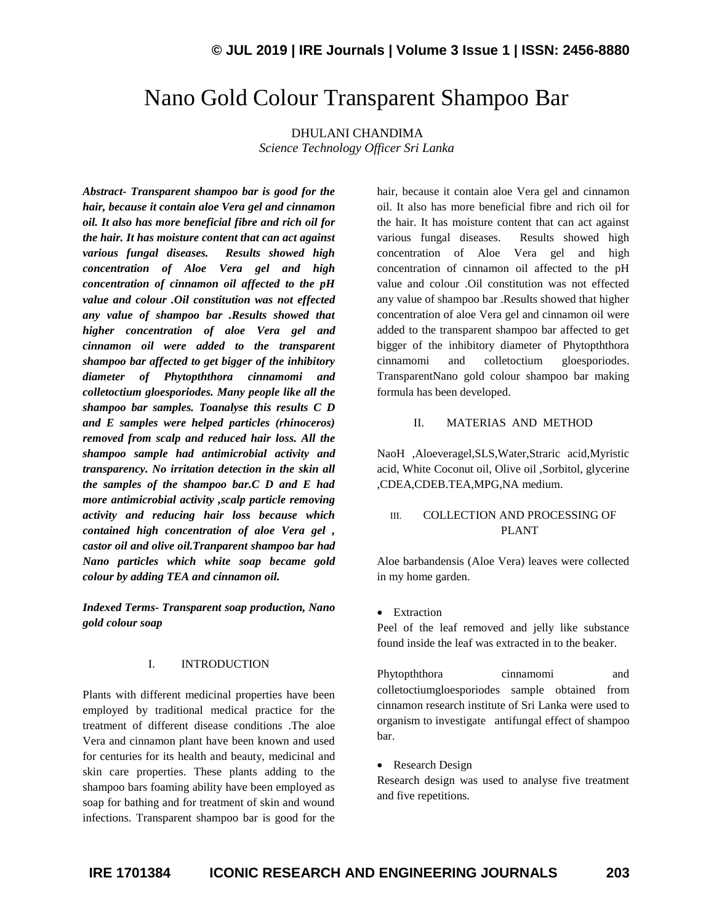# Nano Gold Colour Transparent Shampoo Bar

DHULANI CHANDIMA *Science Technology Officer Sri Lanka*

*Abstract- Transparent shampoo bar is good for the hair, because it contain aloe Vera gel and cinnamon oil. It also has more beneficial fibre and rich oil for the hair. It has moisture content that can act against various fungal diseases. Results showed high concentration of Aloe Vera gel and high concentration of cinnamon oil affected to the pH value and colour .Oil constitution was not effected any value of shampoo bar .Results showed that higher concentration of aloe Vera gel and cinnamon oil were added to the transparent shampoo bar affected to get bigger of the inhibitory diameter of Phytopththora cinnamomi and colletoctium gloesporiodes. Many people like all the shampoo bar samples. Toanalyse this results C D and E samples were helped particles (rhinoceros) removed from scalp and reduced hair loss. All the shampoo sample had antimicrobial activity and transparency. No irritation detection in the skin all the samples of the shampoo bar.C D and E had more antimicrobial activity ,scalp particle removing activity and reducing hair loss because which contained high concentration of aloe Vera gel , castor oil and olive oil.Tranparent shampoo bar had Nano particles which white soap became gold colour by adding TEA and cinnamon oil.*

*Indexed Terms- Transparent soap production, Nano gold colour soap*

# I. INTRODUCTION

Plants with different medicinal properties have been employed by traditional medical practice for the treatment of different disease conditions .The aloe Vera and cinnamon plant have been known and used for centuries for its health and beauty, medicinal and skin care properties. These plants adding to the shampoo bars foaming ability have been employed as soap for bathing and for treatment of skin and wound infections. Transparent shampoo bar is good for the hair, because it contain aloe Vera gel and cinnamon oil. It also has more beneficial fibre and rich oil for the hair. It has moisture content that can act against various fungal diseases. Results showed high concentration of Aloe Vera gel and high concentration of cinnamon oil affected to the pH value and colour .Oil constitution was not effected any value of shampoo bar .Results showed that higher concentration of aloe Vera gel and cinnamon oil were added to the transparent shampoo bar affected to get bigger of the inhibitory diameter of Phytopththora cinnamomi and colletoctium gloesporiodes. TransparentNano gold colour shampoo bar making formula has been developed.

# II. MATERIAS AND METHOD

NaoH ,Aloeveragel,SLS,Water,Straric acid,Myristic acid, White Coconut oil, Olive oil ,Sorbitol, glycerine ,CDEA,CDEB.TEA,MPG,NA medium.

# III. COLLECTION AND PROCESSING OF PLANT

Aloe barbandensis (Aloe Vera) leaves were collected in my home garden.

• Extraction

Peel of the leaf removed and jelly like substance found inside the leaf was extracted in to the beaker.

Phytopththora cinnamomi and colletoctiumgloesporiodes sample obtained from cinnamon research institute of Sri Lanka were used to organism to investigate antifungal effect of shampoo bar.

• Research Design

Research design was used to analyse five treatment and five repetitions.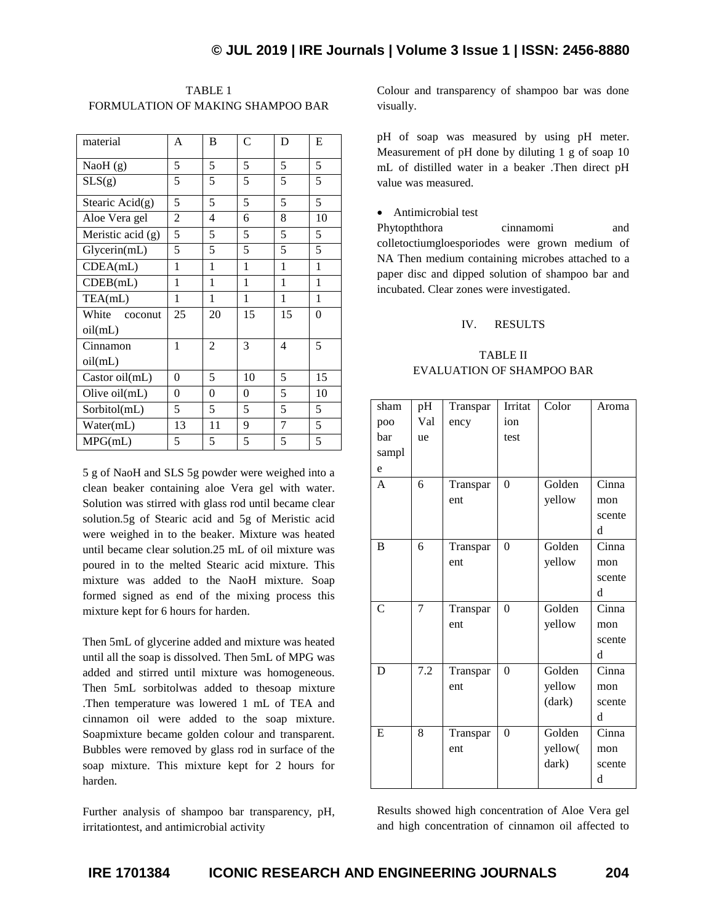| TABLE 1                           |
|-----------------------------------|
| FORMULATION OF MAKING SHAMPOO BAR |

| material            | A              | B  | C            | D              | E  |
|---------------------|----------------|----|--------------|----------------|----|
| Nao $H(g)$          | 5              | 5  | 5            | 5              | 5  |
| SLS(g)              | 5              | 5  | 5            | 5              | 5  |
| Stearic $Acid(g)$   | 5              | 5  | 5            | 5              | 5  |
| Aloe Vera gel       | $\overline{c}$ | 4  | 6            | 8              | 10 |
| Meristic acid $(g)$ | 5              | 5  | 5            | 5              | 5  |
| Glycerin(mL)        | 5              | 5  | 5            | 5              | 5  |
| CDEA(mL)            | 1              | 1  | $\mathbf{1}$ | 1              | 1  |
| CDEB(mL)            | 1              | 1  | 1            | 1              | 1  |
| TEA(mL)             | 1              | 1  | 1            | 1              | 1  |
| White<br>coconut    | 25             | 20 | 15           | 15             | 0  |
| oil(mL)             |                |    |              |                |    |
| Cinnamon            | 1              | 2  | 3            | $\overline{4}$ | 5  |
| oil(mL)             |                |    |              |                |    |
| Castor oil(mL)      | $\overline{0}$ | 5  | 10           | 5              | 15 |
| Olive $oil(mL)$     | 0              | 0  | 0            | 5              | 10 |
| Sorbitol(mL)        | 5              | 5  | 5            | 5              | 5  |
| Water(mL)           | 13             | 11 | 9            | 7              | 5  |
| MPG(mL)             | 5              | 5  | 5            | 5              | 5  |

5 g of NaoH and SLS 5g powder were weighed into a clean beaker containing aloe Vera gel with water. Solution was stirred with glass rod until became clear solution.5g of Stearic acid and 5g of Meristic acid were weighed in to the beaker. Mixture was heated until became clear solution.25 mL of oil mixture was poured in to the melted Stearic acid mixture. This mixture was added to the NaoH mixture. Soap formed signed as end of the mixing process this mixture kept for 6 hours for harden.

Then 5mL of glycerine added and mixture was heated until all the soap is dissolved. Then 5mL of MPG was added and stirred until mixture was homogeneous. Then 5mL sorbitolwas added to thesoap mixture .Then temperature was lowered 1 mL of TEA and cinnamon oil were added to the soap mixture. Soapmixture became golden colour and transparent. Bubbles were removed by glass rod in surface of the soap mixture. This mixture kept for 2 hours for harden.

Further analysis of shampoo bar transparency, pH, irritationtest, and antimicrobial activity

Colour and transparency of shampoo bar was done visually.

pH of soap was measured by using pH meter. Measurement of pH done by diluting 1 g of soap 10 mL of distilled water in a beaker .Then direct pH value was measured.

## Antimicrobial test

Phytopththora cinnamomi and colletoctiumgloesporiodes were grown medium of NA Then medium containing microbes attached to a paper disc and dipped solution of shampoo bar and incubated. Clear zones were investigated.

#### IV. RESULTS

# TABLE II EVALUATION OF SHAMPOO BAR

| sham<br>poo<br>bar<br>sampl<br>e | pH<br>Val<br>ue | Transpar<br>ency | Irritat<br>ion<br>test | Color                      | Aroma                       |
|----------------------------------|-----------------|------------------|------------------------|----------------------------|-----------------------------|
| $\mathsf{A}$                     | 6               | Transpar<br>ent  | $\theta$               | Golden<br>yellow           | Cinna<br>mon<br>scente<br>d |
| B                                | 6               | Transpar<br>ent  | $\theta$               | Golden<br>yellow           | Cinna<br>mon<br>scente<br>d |
| $\overline{C}$                   | 7               | Transpar<br>ent  | $\theta$               | Golden<br>yellow           | Cinna<br>mon<br>scente<br>d |
| D                                | 7.2             | Transpar<br>ent  | $\theta$               | Golden<br>yellow<br>(dark) | Cinna<br>mon<br>scente<br>d |
| E                                | 8               | Transpar<br>ent  | $\theta$               | Golden<br>yellow(<br>dark) | Cinna<br>mon<br>scente<br>d |

Results showed high concentration of Aloe Vera gel and high concentration of cinnamon oil affected to